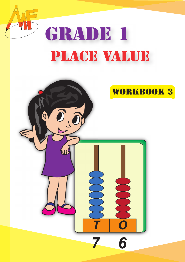

# GRADE 1 PLACE VALUE

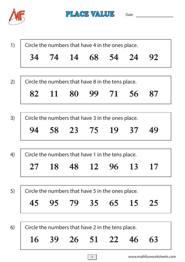

PLACE VALUE

Date and the contract of the contract of the contract of the contract of the contract of the contract of the contract of the contract of the contract of the contract of the contract of the contract of the contract of the c

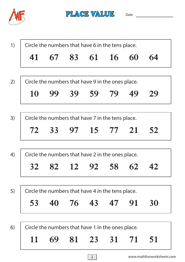

PLACE VALUE Date

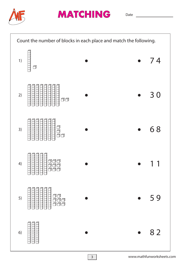



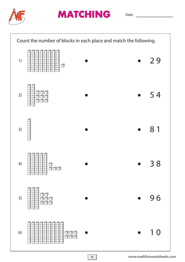



Date

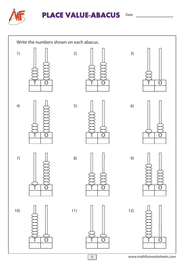



## **PLACE VALUE-ABACUS**

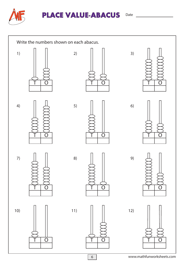



## **PLACE VALUE-ABACUS**

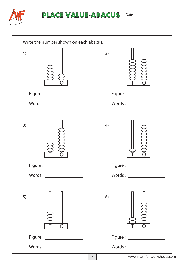

| Write the number shown on each abacus. |                            |
|----------------------------------------|----------------------------|
| 1)                                     | 2)                         |
| Figure : ___________________           | Figure: __________________ |
|                                        |                            |
| 3)                                     | 4)                         |
| Figure : ___________________           |                            |
| Words:                                 | Words:                     |
| 5)<br>O                                | 6)                         |
| Figure: __________________             |                            |
|                                        |                            |
| $\overline{7}$                         | www.mathfunworksheets.com  |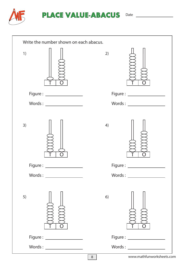

| Write the number shown on each abacus. |                                     |
|----------------------------------------|-------------------------------------|
| 1)                                     | 2)                                  |
| Figure : ___________________           | Figure : ____________________       |
|                                        |                                     |
| 3)                                     | 4)                                  |
| Figure:                                |                                     |
| Words:                                 | Words:                              |
| 5)                                     | 6)                                  |
| Figure : ___________________           |                                     |
|                                        |                                     |
|                                        | www.mathfunworksheets.co<br>$\,8\,$ |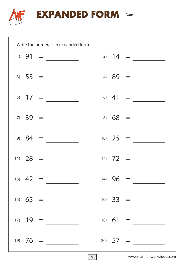

**EXPANDED FORM** Date

|  | Write the numerals in expanded form. |  |  |                                                                            |  |
|--|--------------------------------------|--|--|----------------------------------------------------------------------------|--|
|  | $1) 91 =$                            |  |  | 2) $14 =$                                                                  |  |
|  | $3) 53 =$                            |  |  | 4) $89 =$                                                                  |  |
|  | 5) $17 =$                            |  |  | $\begin{array}{cccc}\n6) & 41 & = & \underline{\hspace{1cm}}\n\end{array}$ |  |
|  | $7) 39 =$                            |  |  | $8) 68 =$                                                                  |  |
|  | 9) $84 =$                            |  |  | $10)$ 25 =                                                                 |  |
|  | $11) 28 =$                           |  |  | $12) 72 =$                                                                 |  |
|  | $13) 42 =$                           |  |  | $14) 96 =$                                                                 |  |
|  | $15) 65 =$                           |  |  | $16) 33 =$                                                                 |  |
|  | $17) 19 =$                           |  |  | $18) 61 =$                                                                 |  |
|  | $19) 76 =$                           |  |  | $20) 57 =$                                                                 |  |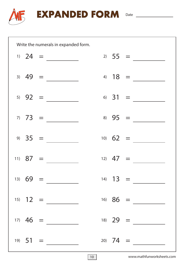

**EXPANDED FORM** Date

|  | Write the numerals in expanded form.                                                                                                                                                                                                                                                                                                                                                                                                                                                                                                                                                             |  |           |            |  |
|--|--------------------------------------------------------------------------------------------------------------------------------------------------------------------------------------------------------------------------------------------------------------------------------------------------------------------------------------------------------------------------------------------------------------------------------------------------------------------------------------------------------------------------------------------------------------------------------------------------|--|-----------|------------|--|
|  | $1)$ 24 =                                                                                                                                                                                                                                                                                                                                                                                                                                                                                                                                                                                        |  |           | $2) 55 =$  |  |
|  | $\begin{array}{ccccccccc}\n3) & 49 & = & \underline{\hspace{1cm}} & & \underline{\hspace{1cm}} & & \underline{\hspace{1cm}} & & \underline{\hspace{1cm}} & & \underline{\hspace{1cm}} & & \underline{\hspace{1cm}} & & \underline{\hspace{1cm}} & & \underline{\hspace{1cm}} & & \underline{\hspace{1cm}} & & \underline{\hspace{1cm}} & & \underline{\hspace{1cm}} & & \underline{\hspace{1cm}} & & \underline{\hspace{1cm}} & & \underline{\hspace{1cm}} & & \underline{\hspace{1cm}} & & \underline{\hspace{1cm}} & & \underline{\hspace{1cm}} & & \underline{\hspace{1cm}} & & \underline{\$ |  |           | 4) $18 =$  |  |
|  | $(5)$ 92 =                                                                                                                                                                                                                                                                                                                                                                                                                                                                                                                                                                                       |  |           | 6) $31 =$  |  |
|  | $7) 73 =$                                                                                                                                                                                                                                                                                                                                                                                                                                                                                                                                                                                        |  | $8) 95 =$ |            |  |
|  | $9) 35 =$                                                                                                                                                                                                                                                                                                                                                                                                                                                                                                                                                                                        |  |           | $10) 62 =$ |  |
|  | $11) 87 =$                                                                                                                                                                                                                                                                                                                                                                                                                                                                                                                                                                                       |  |           | 12) $47 =$ |  |
|  | $13) 69 =$                                                                                                                                                                                                                                                                                                                                                                                                                                                                                                                                                                                       |  |           | 14) $13 =$ |  |
|  | $15) 12 =$                                                                                                                                                                                                                                                                                                                                                                                                                                                                                                                                                                                       |  |           | $16) 86 =$ |  |
|  | $17) 46 =$                                                                                                                                                                                                                                                                                                                                                                                                                                                                                                                                                                                       |  |           | $18)$ 29 = |  |
|  | $19) 51 =$                                                                                                                                                                                                                                                                                                                                                                                                                                                                                                                                                                                       |  |           | 20) $74 =$ |  |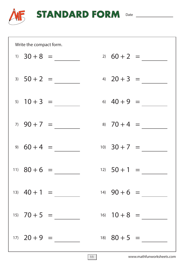

**STANDARD FORM** Date

| Write the compact form. |                |  |                  |                |  |
|-------------------------|----------------|--|------------------|----------------|--|
|                         | $1) 30 + 8 =$  |  | $20 \t 60 + 2 =$ |                |  |
| $3) 50 + 2 =$           |                |  | 4) $20 + 3 =$    |                |  |
|                         | 5) $10 + 3 =$  |  |                  | 6) $40 + 9 =$  |  |
|                         | $7) 90 + 7 =$  |  |                  | 8) $70 + 4 =$  |  |
|                         | $9) 60 + 4 =$  |  |                  | 10) $30 + 7 =$ |  |
| 11) $80 + 6 =$          |                |  | $12) 50 + 1 =$   |                |  |
|                         | 13) $40 + 1 =$ |  | 14) $90 + 6 =$   |                |  |
|                         | $15)$ 70 + 5 = |  |                  | 16) $10+8 =$   |  |
|                         | $17) 20 + 9 =$ |  | 18) $80 + 5 =$   |                |  |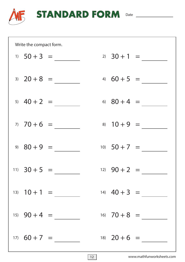

**STANDARD FORM** Date

| Write the compact form. |                |  |                |                |  |
|-------------------------|----------------|--|----------------|----------------|--|
| $1) 50 + 3 =$           |                |  | $2)$ 30 + 1 =  |                |  |
|                         | $3) 20 + 8 =$  |  |                | 4) $60 + 5 =$  |  |
|                         | 5) $40 + 2 =$  |  | 6) $80 + 4 =$  |                |  |
|                         | $70 + 6 =$     |  | 8) $10 + 9 =$  |                |  |
| $9)$ $80 + 9 =$         |                |  | 10) $50 + 7 =$ |                |  |
| $11)$ 30 + 5 =          |                |  | 12) $90 + 2 =$ |                |  |
|                         | $13) 10 + 1 =$ |  |                | 14) $40 + 3 =$ |  |
|                         | 15) $90 + 4 =$ |  |                | 16) $70 + 8 =$ |  |
|                         | $17) 60 + 7 =$ |  |                | $18)$ 20 + 6 = |  |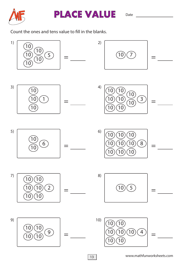



Count the ones and tens value to fill in the blanks.

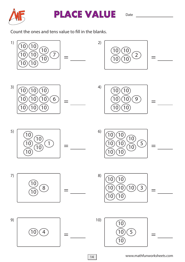



Count the ones and tens value to fill in the blanks.

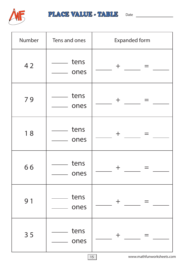

#### PLACE VALUE - TABLE Date

| Number | Tens and ones | <b>Expanded form</b>           |
|--------|---------------|--------------------------------|
| 42     | tens<br>ones  | $\pm$                          |
| 79     | tens<br>ones  | $\pm$                          |
| 18     | tens<br>ones  | $\pm$                          |
| 66     | tens<br>ones  |                                |
| 91     | tens<br>ones  | $\pm$                          |
| 35     | tens<br>ones  | $\pm$                          |
|        |               | www.mathfunworksheets.co<br>15 |